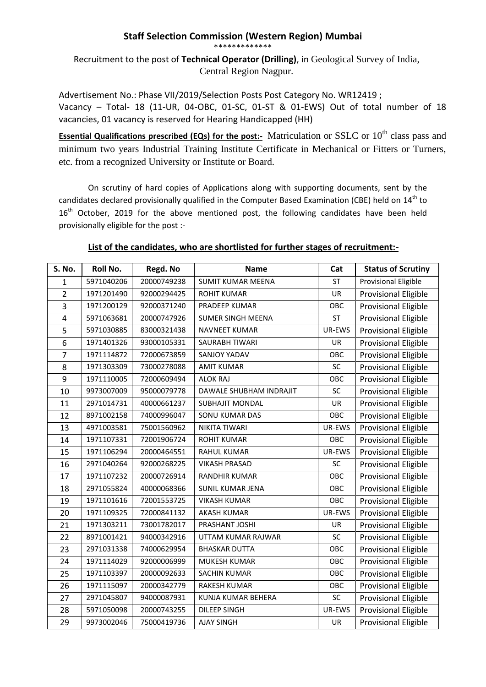## **Staff Selection Commission (Western Region) Mumbai**

\*\*\*\*\*\*\*\*\*\*\*\*\*

Recruitment to the post of **Technical Operator (Drilling)**, in Geological Survey of India, Central Region Nagpur.

Advertisement No.: Phase VII/2019/Selection Posts Post Category No. WR12419 ; Vacancy – Total- 18 (11-UR, 04-OBC, 01-SC, 01-ST & 01-EWS) Out of total number of 18 vacancies, 01 vacancy is reserved for Hearing Handicapped (HH)

**Essential Qualifications prescribed (EQs) for the post:-** Matriculation or SSLC or 10<sup>th</sup> class pass and minimum two years Industrial Training Institute Certificate in Mechanical or Fitters or Turners, etc. from a recognized University or Institute or Board.

On scrutiny of hard copies of Applications along with supporting documents, sent by the candidates declared provisionally qualified in the Computer Based Examination (CBE) held on 14<sup>th</sup> to 16<sup>th</sup> October, 2019 for the above mentioned post, the following candidates have been held provisionally eligible for the post :-

## **List of the candidates, who are shortlisted for further stages of recruitment:-**

| <b>S. No.</b>           | Roll No.   | Regd. No    | <b>Name</b>              | Cat       | <b>Status of Scrutiny</b>   |
|-------------------------|------------|-------------|--------------------------|-----------|-----------------------------|
| $\mathbf{1}$            | 5971040206 | 20000749238 | <b>SUMIT KUMAR MEENA</b> | <b>ST</b> | <b>Provisional Eligible</b> |
| $\overline{2}$          | 1971201490 | 92000294425 | <b>ROHIT KUMAR</b>       | <b>UR</b> | <b>Provisional Eligible</b> |
| 3                       | 1971200129 | 92000371240 | PRADEEP KUMAR            | OBC       | <b>Provisional Eligible</b> |
| $\overline{\mathbf{4}}$ | 5971063681 | 20000747926 | <b>SUMER SINGH MEENA</b> | <b>ST</b> | <b>Provisional Eligible</b> |
| 5                       | 5971030885 | 83000321438 | NAVNEET KUMAR            | UR-EWS    | <b>Provisional Eligible</b> |
| 6                       | 1971401326 | 93000105331 | SAURABH TIWARI           | UR        | <b>Provisional Eligible</b> |
| $\overline{7}$          | 1971114872 | 72000673859 | SANJOY YADAV             | OBC       | <b>Provisional Eligible</b> |
| 8                       | 1971303309 | 73000278088 | <b>AMIT KUMAR</b>        | SC        | <b>Provisional Eligible</b> |
| 9                       | 1971110005 | 72000609494 | <b>ALOK RAJ</b>          | OBC       | <b>Provisional Eligible</b> |
| 10                      | 9973007009 | 95000079778 | DAWALE SHUBHAM INDRAJIT  | SC        | <b>Provisional Eligible</b> |
| 11                      | 2971014731 | 40000661237 | <b>SUBHAJIT MONDAL</b>   | UR        | <b>Provisional Eligible</b> |
| 12                      | 8971002158 | 74000996047 | SONU KUMAR DAS           | OBC       | <b>Provisional Eligible</b> |
| 13                      | 4971003581 | 75001560962 | NIKITA TIWARI            | UR-EWS    | <b>Provisional Eligible</b> |
| 14                      | 1971107331 | 72001906724 | <b>ROHIT KUMAR</b>       | OBC       | <b>Provisional Eligible</b> |
| 15                      | 1971106294 | 20000464551 | <b>RAHUL KUMAR</b>       | UR-EWS    | <b>Provisional Eligible</b> |
| 16                      | 2971040264 | 92000268225 | <b>VIKASH PRASAD</b>     | SC        | <b>Provisional Eligible</b> |
| 17                      | 1971107232 | 20000726914 | <b>RANDHIR KUMAR</b>     | OBC       | <b>Provisional Eligible</b> |
| 18                      | 2971055824 | 40000068366 | SUNIL KUMAR JENA         | OBC       | <b>Provisional Eligible</b> |
| 19                      | 1971101616 | 72001553725 | <b>VIKASH KUMAR</b>      | OBC       | <b>Provisional Eligible</b> |
| 20                      | 1971109325 | 72000841132 | AKASH KUMAR              | UR-EWS    | <b>Provisional Eligible</b> |
| 21                      | 1971303211 | 73001782017 | PRASHANT JOSHI           | <b>UR</b> | <b>Provisional Eligible</b> |
| 22                      | 8971001421 | 94000342916 | UTTAM KUMAR RAJWAR       | SC        | <b>Provisional Eligible</b> |
| 23                      | 2971031338 | 74000629954 | <b>BHASKAR DUTTA</b>     | OBC       | <b>Provisional Eligible</b> |
| 24                      | 1971114029 | 92000006999 | MUKESH KUMAR             | OBC       | <b>Provisional Eligible</b> |
| 25                      | 1971103397 | 20000092633 | <b>SACHIN KUMAR</b>      | OBC       | <b>Provisional Eligible</b> |
| 26                      | 1971115097 | 20000342779 | <b>RAKESH KUMAR</b>      | OBC       | <b>Provisional Eligible</b> |
| 27                      | 2971045807 | 94000087931 | KUNJA KUMAR BEHERA       | SC        | <b>Provisional Eligible</b> |
| 28                      | 5971050098 | 20000743255 | <b>DILEEP SINGH</b>      | UR-EWS    | <b>Provisional Eligible</b> |
| 29                      | 9973002046 | 75000419736 | <b>AJAY SINGH</b>        | <b>UR</b> | <b>Provisional Eligible</b> |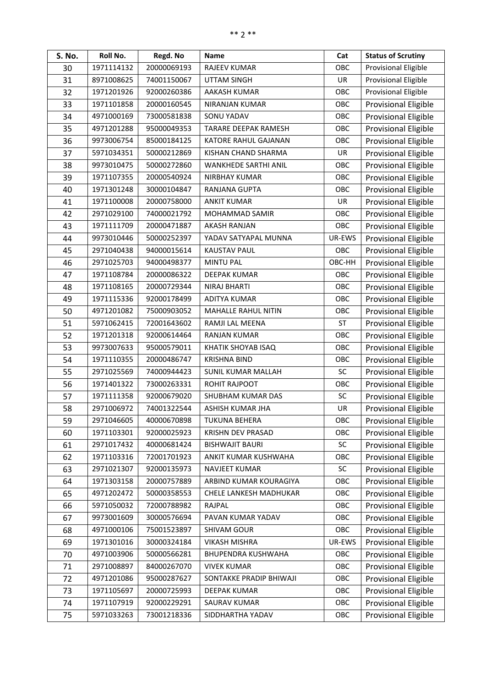| S. No. | Roll No.   | Regd. No    | <b>Name</b>                 | Cat       | <b>Status of Scrutiny</b>   |
|--------|------------|-------------|-----------------------------|-----------|-----------------------------|
| 30     | 1971114132 | 20000069193 | <b>RAJEEV KUMAR</b>         | OBC       | Provisional Eligible        |
| 31     | 8971008625 | 74001150067 | UTTAM SINGH                 | UR        | Provisional Eligible        |
| 32     | 1971201926 | 92000260386 | AAKASH KUMAR                | OBC       | Provisional Eligible        |
| 33     | 1971101858 | 20000160545 | <b>NIRANJAN KUMAR</b>       | OBC       | <b>Provisional Eligible</b> |
| 34     | 4971000169 | 73000581838 | SONU YADAV                  | OBC       | <b>Provisional Eligible</b> |
| 35     | 4971201288 | 95000049353 | <b>TARARE DEEPAK RAMESH</b> | OBC       | <b>Provisional Eligible</b> |
| 36     | 9973006754 | 85000184125 | KATORE RAHUL GAJANAN        | OBC       | <b>Provisional Eligible</b> |
| 37     | 5971034351 | 50000212869 | KISHAN CHAND SHARMA         | UR        | <b>Provisional Eligible</b> |
| 38     | 9973010475 | 50000272860 | <b>WANKHEDE SARTHI ANIL</b> | OBC       | <b>Provisional Eligible</b> |
| 39     | 1971107355 | 20000540924 | <b>NIRBHAY KUMAR</b>        | OBC       | <b>Provisional Eligible</b> |
| 40     | 1971301248 | 30000104847 | RANJANA GUPTA               | OBC       | <b>Provisional Eligible</b> |
| 41     | 1971100008 | 20000758000 | <b>ANKIT KUMAR</b>          | UR        | <b>Provisional Eligible</b> |
| 42     | 2971029100 | 74000021792 | <b>MOHAMMAD SAMIR</b>       | OBC       | <b>Provisional Eligible</b> |
| 43     | 1971111709 | 20000471887 | <b>AKASH RANJAN</b>         | OBC       | <b>Provisional Eligible</b> |
| 44     | 9973010446 | 50000252397 | YADAV SATYAPAL MUNNA        | UR-EWS    | <b>Provisional Eligible</b> |
| 45     | 2971040438 | 94000015614 | <b>KAUSTAV PAUL</b>         | OBC       | <b>Provisional Eligible</b> |
| 46     | 2971025703 | 94000498377 | <b>MINTU PAL</b>            | OBC-HH    | <b>Provisional Eligible</b> |
| 47     | 1971108784 | 20000086322 | <b>DEEPAK KUMAR</b>         | OBC       | <b>Provisional Eligible</b> |
| 48     | 1971108165 | 20000729344 | <b>NIRAJ BHARTI</b>         | OBC       | <b>Provisional Eligible</b> |
| 49     | 1971115336 | 92000178499 | <b>ADITYA KUMAR</b>         | OBC       | <b>Provisional Eligible</b> |
| 50     | 4971201082 | 75000903052 | MAHALLE RAHUL NITIN         | OBC       | <b>Provisional Eligible</b> |
| 51     | 5971062415 | 72001643602 | RAMJI LAL MEENA             | <b>ST</b> | <b>Provisional Eligible</b> |
| 52     | 1971201318 | 92000614464 | <b>RANJAN KUMAR</b>         | OBC       | <b>Provisional Eligible</b> |
| 53     | 9973007633 | 95000579011 | KHATIK SHOYAB ISAQ          | OBC       | <b>Provisional Eligible</b> |
| 54     | 1971110355 | 20000486747 | <b>KRISHNA BIND</b>         | OBC       | <b>Provisional Eligible</b> |
| 55     | 2971025569 | 74000944423 | SUNIL KUMAR MALLAH          | <b>SC</b> | <b>Provisional Eligible</b> |
| 56     | 1971401322 | 73000263331 | ROHIT RAJPOOT               | OBC       | <b>Provisional Eligible</b> |
| 57     | 1971111358 | 92000679020 | SHUBHAM KUMAR DAS           | <b>SC</b> | <b>Provisional Eligible</b> |
| 58     | 2971006972 | 74001322544 | ASHISH KUMAR JHA            | UR        | <b>Provisional Eligible</b> |
| 59     | 2971046605 | 40000670898 | <b>TUKUNA BEHERA</b>        | OBC       | <b>Provisional Eligible</b> |
| 60     | 1971103301 | 92000025923 | KRISHN DEV PRASAD           | OBC       | <b>Provisional Eligible</b> |
| 61     | 2971017432 | 40000681424 | <b>BISHWAJIT BAURI</b>      | SC        | <b>Provisional Eligible</b> |
| 62     | 1971103316 | 72001701923 | ANKIT KUMAR KUSHWAHA        | OBC       | <b>Provisional Eligible</b> |
| 63     | 2971021307 | 92000135973 | NAVJEET KUMAR               | <b>SC</b> | <b>Provisional Eligible</b> |
| 64     | 1971303158 | 20000757889 | ARBIND KUMAR KOURAGIYA      | OBC       | <b>Provisional Eligible</b> |
| 65     | 4971202472 | 50000358553 | CHELE LANKESH MADHUKAR      | OBC       | <b>Provisional Eligible</b> |
| 66     | 5971050032 | 72000788982 | RAJPAL                      | OBC       | <b>Provisional Eligible</b> |
| 67     | 9973001609 | 30000576694 | PAVAN KUMAR YADAV           | OBC       | <b>Provisional Eligible</b> |
| 68     | 4971000106 | 75001523897 | <b>SHIVAM GOUR</b>          | OBC       | <b>Provisional Eligible</b> |
| 69     | 1971301016 | 30000324184 | <b>VIKASH MISHRA</b>        | UR-EWS    | <b>Provisional Eligible</b> |
| 70     | 4971003906 | 50000566281 | BHUPENDRA KUSHWAHA          | OBC       | <b>Provisional Eligible</b> |
| 71     | 2971008897 | 84000267070 | <b>VIVEK KUMAR</b>          | OBC       | <b>Provisional Eligible</b> |
| 72     | 4971201086 | 95000287627 | SONTAKKE PRADIP BHIWAJI     | OBC       | <b>Provisional Eligible</b> |
| 73     | 1971105697 | 20000725993 | DEEPAK KUMAR                | OBC       | Provisional Eligible        |
| 74     | 1971107919 | 92000229291 | SAURAV KUMAR                | OBC       | Provisional Eligible        |
| 75     | 5971033263 | 73001218336 | SIDDHARTHA YADAV            | OBC       | <b>Provisional Eligible</b> |